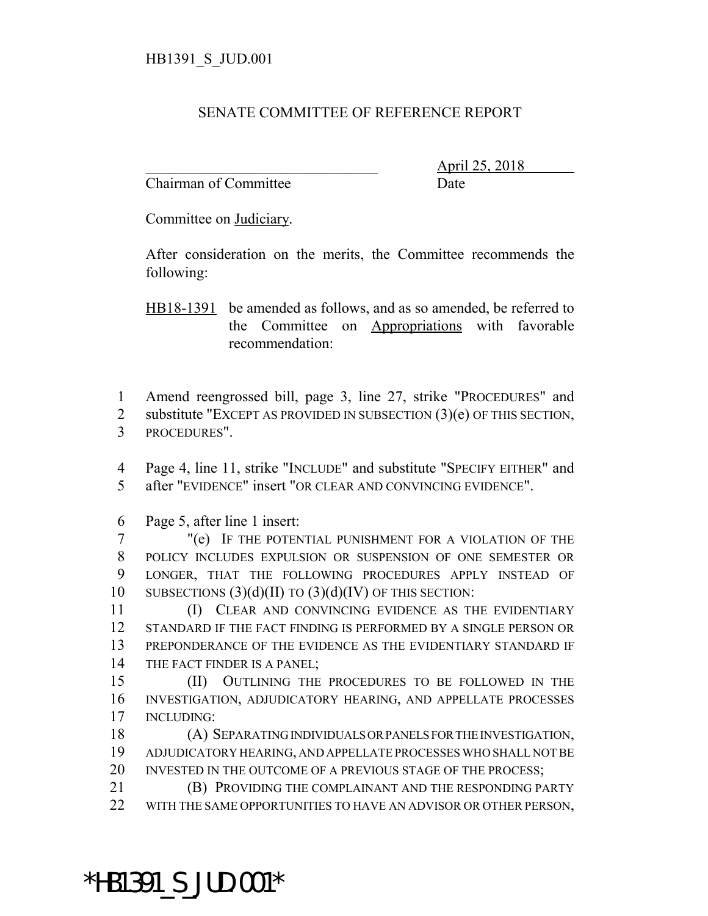## SENATE COMMITTEE OF REFERENCE REPORT

Chairman of Committee Date

\_\_\_\_\_\_\_\_\_\_\_\_\_\_\_\_\_\_\_\_\_\_\_\_\_\_\_\_\_\_\_ April 25, 2018

Committee on Judiciary.

After consideration on the merits, the Committee recommends the following:

HB18-1391 be amended as follows, and as so amended, be referred to the Committee on Appropriations with favorable recommendation:

1 Amend reengrossed bill, page 3, line 27, strike "PROCEDURES" and

2 substitute "EXCEPT AS PROVIDED IN SUBSECTION  $(3)(e)$  OF THIS SECTION, 3 PROCEDURES".

4 Page 4, line 11, strike "INCLUDE" and substitute "SPECIFY EITHER" and 5 after "EVIDENCE" insert "OR CLEAR AND CONVINCING EVIDENCE".

6 Page 5, after line 1 insert:

 "(e) IF THE POTENTIAL PUNISHMENT FOR A VIOLATION OF THE POLICY INCLUDES EXPULSION OR SUSPENSION OF ONE SEMESTER OR LONGER, THAT THE FOLLOWING PROCEDURES APPLY INSTEAD OF 10 SUBSECTIONS  $(3)(d)(II)$  TO  $(3)(d)(IV)$  OF THIS SECTION:

 (I) CLEAR AND CONVINCING EVIDENCE AS THE EVIDENTIARY STANDARD IF THE FACT FINDING IS PERFORMED BY A SINGLE PERSON OR PREPONDERANCE OF THE EVIDENCE AS THE EVIDENTIARY STANDARD IF THE FACT FINDER IS A PANEL;

15 (II) OUTLINING THE PROCEDURES TO BE FOLLOWED IN THE 16 INVESTIGATION, ADJUDICATORY HEARING, AND APPELLATE PROCESSES 17 INCLUDING:

18 (A) SEPARATING INDIVIDUALS OR PANELS FOR THE INVESTIGATION, 19 ADJUDICATORY HEARING, AND APPELLATE PROCESSES WHO SHALL NOT BE 20 INVESTED IN THE OUTCOME OF A PREVIOUS STAGE OF THE PROCESS;

21 (B) PROVIDING THE COMPLAINANT AND THE RESPONDING PARTY 22 WITH THE SAME OPPORTUNITIES TO HAVE AN ADVISOR OR OTHER PERSON,

\*HB1391\_S\_JUD.001\*